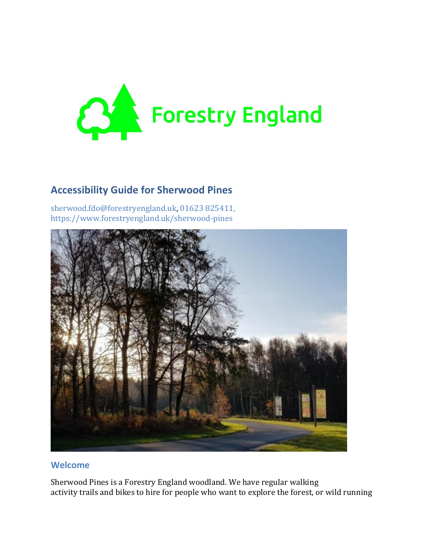

### **Accessibility Guide for Sherwood Pines**

[sherwood.fdo@forestryengland.uk,](mailto:sherwood.fdo@forestryengland.uk) [01623 825411,](tel:01623%20825411) <https://www.forestryengland.uk/sherwood-pines>



#### **Welcome**

Sherwood Pines is a Forestry England woodland. We have regular walking activity trails and bikes to hire for people who want to explore the forest, or wild running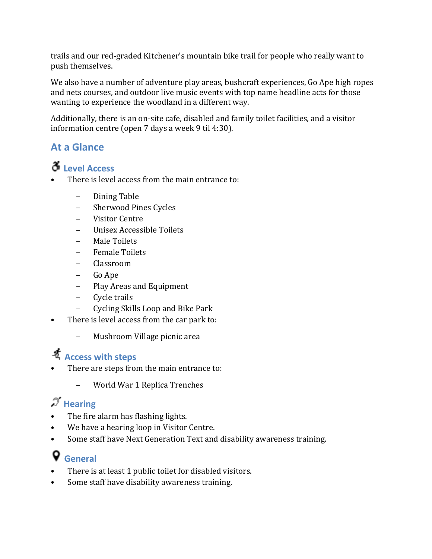trails and our red-graded Kitchener's mountain bike trail for people who really want to push themselves.

We also have a number of adventure play areas, bushcraft experiences, Go Ape high ropes and nets courses, and outdoor live music events with top name headline acts for those wanting to experience the woodland in a different way.

Additionally, there is an on-site cafe, disabled and family toilet facilities, and a visitor information centre (open 7 days a week 9 til 4:30).

### **At a Glance**

# **Level Access**

- There is level access from the main entrance to:
	- Dining Table
	- Sherwood Pines Cycles
	- Visitor Centre
	- Unisex Accessible Toilets
	- Male Toilets
	- Female Toilets
	- Classroom
	- Go Ape
	- Play Areas and Equipment
	- Cycle trails
	- Cycling Skills Loop and Bike Park
- There is level access from the car park to:
	- Mushroom Village picnic area

## **Access with steps**

- There are steps from the main entrance to:
	- World War 1 Replica Trenches

# $\mathscr{T}$  Hearing

- The fire alarm has flashing lights.
- We have a hearing loop in Visitor Centre.
- Some staff have Next Generation Text and disability awareness training.

# **General**

- There is at least 1 public toilet for disabled visitors.
- Some staff have disability awareness training.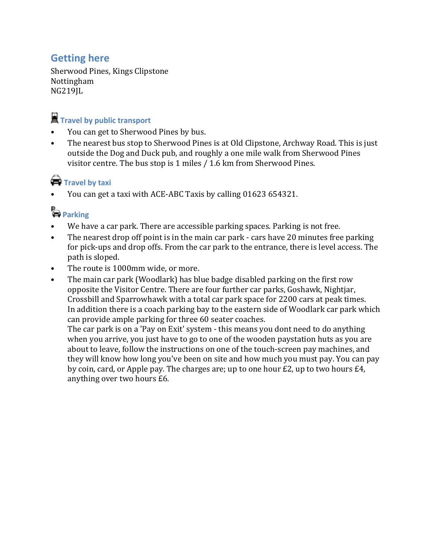### **Getting here**

Sherwood Pines, Kings Clipstone Nottingham NG219JL

# **Travel by public transport**

- You can get to Sherwood Pines by bus.
- The nearest bus stop to Sherwood Pines is at Old Clipstone, Archway Road. This is just outside the Dog and Duck pub, and roughly a one mile walk from Sherwood Pines visitor centre. The bus stop is 1 miles / 1.6 km from Sherwood Pines.

## **Travel by taxi**

• You can get a taxi with ACE-ABC Taxis by calling 01623 654321.

# **Parking**

- We have a car park. There are accessible parking spaces. Parking is not free.
- The nearest drop off point is in the main car park cars have 20 minutes free parking for pick-ups and drop offs. From the car park to the entrance, there is level access. The path is sloped.
- The route is 1000mm wide, or more.
- The main car park (Woodlark) has blue badge disabled parking on the first row opposite the Visitor Centre. There are four further car parks, Goshawk, Nightjar, Crossbill and Sparrowhawk with a total car park space for 2200 cars at peak times. In addition there is a coach parking bay to the eastern side of Woodlark car park which can provide ample parking for three 60 seater coaches.

The car park is on a 'Pay on Exit' system - this means you dont need to do anything when you arrive, you just have to go to one of the wooden paystation huts as you are about to leave, follow the instructions on one of the touch-screen pay machines, and they will know how long you've been on site and how much you must pay. You can pay by coin, card, or Apple pay. The charges are; up to one hour £2, up to two hours £4, anything over two hours £6.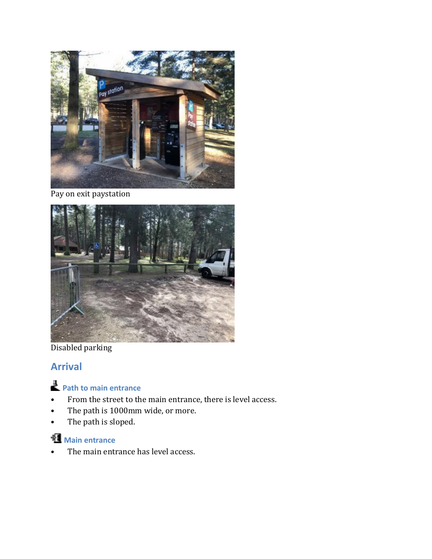

Pay on exit paystation



Disabled parking

### **Arrival**

# **Path to main entrance**

- From the street to the main entrance, there is level access.
- The path is 1000mm wide, or more.
- The path is sloped.

## **Main entrance**

• The main entrance has level access.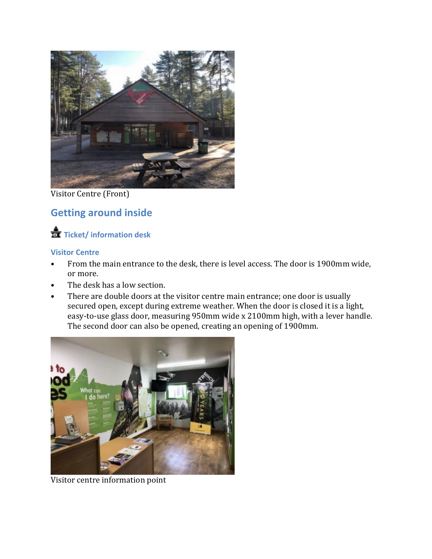

Visitor Centre (Front)

### **Getting around inside**

## **Ticket/ information desk**

#### **Visitor Centre**

- From the main entrance to the desk, there is level access. The door is 1900mm wide, or more.
- The desk has a low section.
- There are double doors at the visitor centre main entrance; one door is usually secured open, except during extreme weather. When the door is closed it is a light, easy-to-use glass door, measuring 950mm wide x 2100mm high, with a lever handle. The second door can also be opened, creating an opening of 1900mm.



Visitor centre information point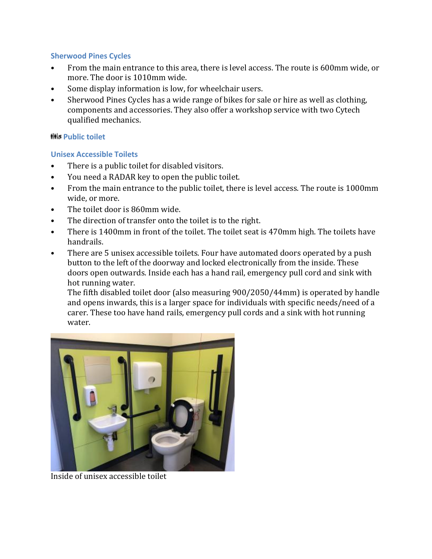#### **Sherwood Pines Cycles**

- From the main entrance to this area, there is level access. The route is 600mm wide, or more. The door is 1010mm wide.
- Some display information is low, for wheelchair users.
- Sherwood Pines Cycles has a wide range of bikes for sale or hire as well as clothing, components and accessories. They also offer a workshop service with two Cytech qualified mechanics.

#### **HHs Public toilet**

#### **Unisex Accessible Toilets**

- There is a public toilet for disabled visitors.
- You need a RADAR key to open the public toilet.
- From the main entrance to the public toilet, there is level access. The route is 1000mm wide, or more.
- The toilet door is 860mm wide.
- The direction of transfer onto the toilet is to the right.
- There is 1400mm in front of the toilet. The toilet seat is 470mm high. The toilets have handrails.
- There are 5 unisex accessible toilets. Four have automated doors operated by a push button to the left of the doorway and locked electronically from the inside. These doors open outwards. Inside each has a hand rail, emergency pull cord and sink with hot running water.

The fifth disabled toilet door (also measuring 900/2050/44mm) is operated by handle and opens inwards, this is a larger space for individuals with specific needs/need of a carer. These too have hand rails, emergency pull cords and a sink with hot running water.



Inside of unisex accessible toilet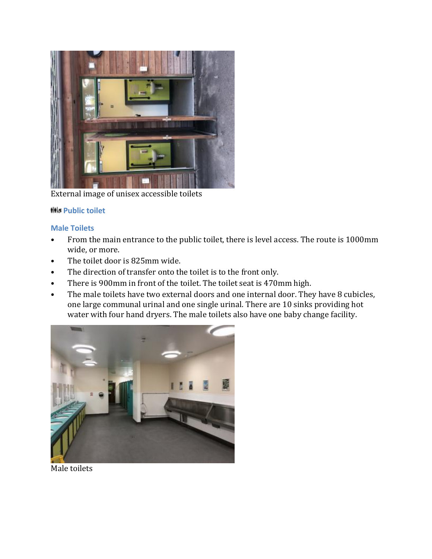

External image of unisex accessible toilets

#### **His Public toilet**

#### **Male Toilets**

- From the main entrance to the public toilet, there is level access. The route is 1000mm wide, or more.
- The toilet door is 825mm wide.
- The direction of transfer onto the toilet is to the front only.
- There is 900mm in front of the toilet. The toilet seat is 470mm high.
- The male toilets have two external doors and one internal door. They have 8 cubicles, one large communal urinal and one single urinal. There are 10 sinks providing hot water with four hand dryers. The male toilets also have one baby change facility.



Male toilets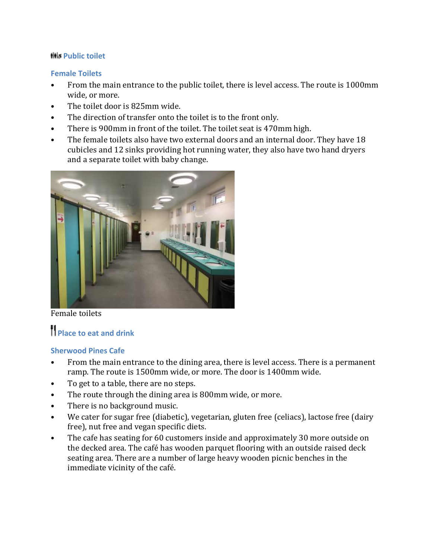#### **His Public toilet**

#### **Female Toilets**

- From the main entrance to the public toilet, there is level access. The route is 1000mm wide, or more.
- The toilet door is 825mm wide.
- The direction of transfer onto the toilet is to the front only.
- There is 900mm in front of the toilet. The toilet seat is 470mm high.
- The female toilets also have two external doors and an internal door. They have 18 cubicles and 12 sinks providing hot running water, they also have two hand dryers and a separate toilet with baby change.



Female toilets

# **Place to eat and drink**

#### **Sherwood Pines Cafe**

- From the main entrance to the dining area, there is level access. There is a permanent ramp. The route is 1500mm wide, or more. The door is 1400mm wide.
- To get to a table, there are no steps.
- The route through the dining area is 800mm wide, or more.
- There is no background music.
- We cater for sugar free (diabetic), vegetarian, gluten free (celiacs), lactose free (dairy free), nut free and vegan specific diets.
- The cafe has seating for 60 customers inside and approximately 30 more outside on the decked area. The café has wooden parquet flooring with an outside raised deck seating area. There are a number of large heavy wooden picnic benches in the immediate vicinity of the café.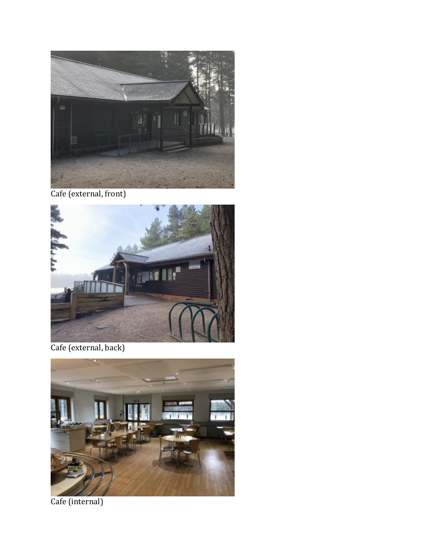

Cafe (external, front)



Cafe (external, back)



Cafe (internal)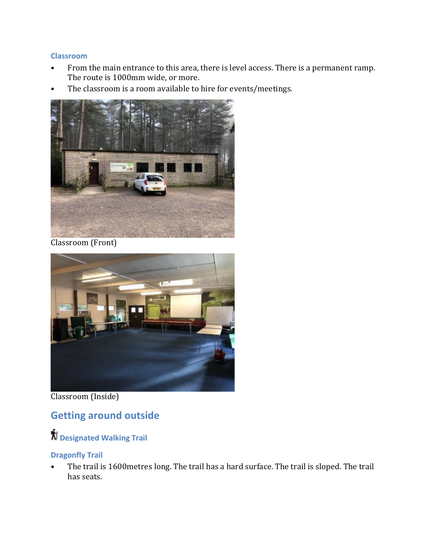#### **Classroom**

- From the main entrance to this area, there is level access. There is a permanent ramp. The route is 1000mm wide, or more.
- The classroom is a room available to hire for events/meetings.



Classroom (Front)



Classroom (Inside)

### **Getting around outside**

**Designated Walking Trail**

#### **Dragonfly Trail**

• The trail is 1600metres long. The trail has a hard surface. The trail is sloped. The trail has seats.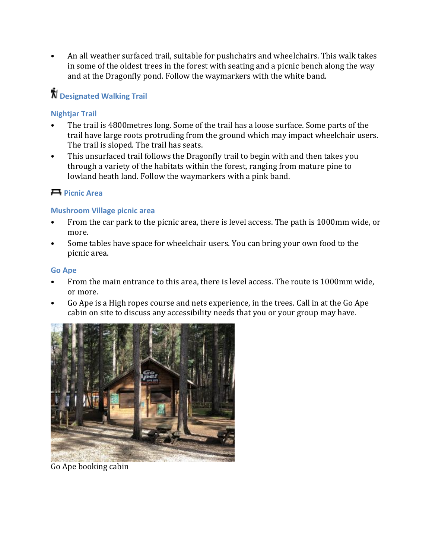• An all weather surfaced trail, suitable for pushchairs and wheelchairs. This walk takes in some of the oldest trees in the forest with seating and a picnic bench along the way and at the Dragonfly pond. Follow the waymarkers with the white band.

## **Designated Walking Trail**

#### **Nightjar Trail**

- The trail is 4800metres long. Some of the trail has a loose surface. Some parts of the trail have large roots protruding from the ground which may impact wheelchair users. The trail is sloped. The trail has seats.
- This unsurfaced trail follows the Dragonfly trail to begin with and then takes you through a variety of the habitats within the forest, ranging from mature pine to lowland heath land. Follow the waymarkers with a pink band.

#### **Picnic Area**

#### **Mushroom Village picnic area**

- From the car park to the picnic area, there is level access. The path is 1000mm wide, or more.
- Some tables have space for wheelchair users. You can bring your own food to the picnic area.

#### **Go Ape**

- From the main entrance to this area, there is level access. The route is 1000mm wide, or more.
- Go Ape is a High ropes course and nets experience, in the trees. Call in at the Go Ape cabin on site to discuss any accessibility needs that you or your group may have.



Go Ape booking cabin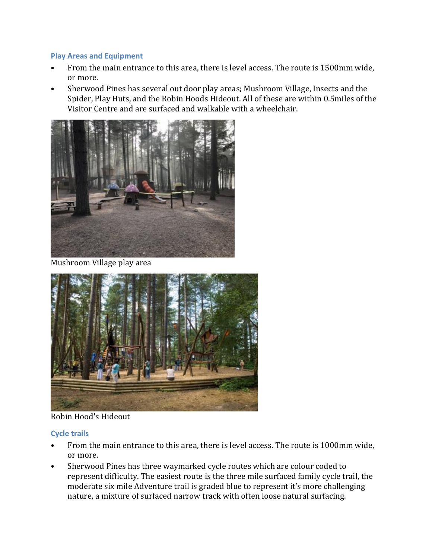#### **Play Areas and Equipment**

- From the main entrance to this area, there is level access. The route is 1500mm wide, or more.
- Sherwood Pines has several out door play areas; Mushroom Village, Insects and the Spider, Play Huts, and the Robin Hoods Hideout. All of these are within 0.5miles of the Visitor Centre and are surfaced and walkable with a wheelchair.



Mushroom Village play area



Robin Hood's Hideout

#### **Cycle trails**

- From the main entrance to this area, there is level access. The route is 1000mm wide, or more.
- Sherwood Pines has three waymarked cycle routes which are colour coded to represent difficulty. The easiest route is the three mile surfaced family cycle trail, the moderate six mile Adventure trail is graded blue to represent it's more challenging nature, a mixture of surfaced narrow track with often loose natural surfacing.